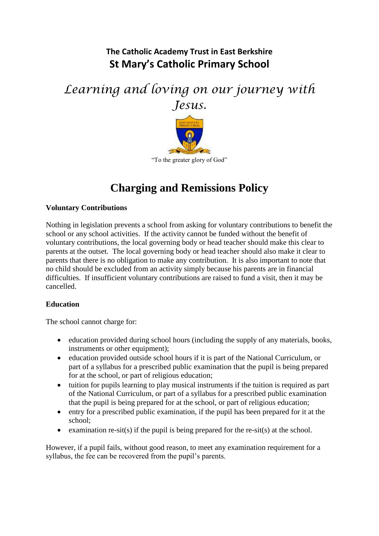## **The Catholic Academy Trust in East Berkshire St Mary's Catholic Primary School**

# *Learning and loving on our journey with Jesus.*



## **Charging and Remissions Policy**

## **Voluntary Contributions**

Nothing in legislation prevents a school from asking for voluntary contributions to benefit the school or any school activities. If the activity cannot be funded without the benefit of voluntary contributions, the local governing body or head teacher should make this clear to parents at the outset. The local governing body or head teacher should also make it clear to parents that there is no obligation to make any contribution. It is also important to note that no child should be excluded from an activity simply because his parents are in financial difficulties. If insufficient voluntary contributions are raised to fund a visit, then it may be cancelled.

### **Education**

The school cannot charge for:

- education provided during school hours (including the supply of any materials, books, instruments or other equipment);
- education provided outside school hours if it is part of the National Curriculum, or part of a syllabus for a prescribed public examination that the pupil is being prepared for at the school, or part of religious education;
- tuition for pupils learning to play musical instruments if the tuition is required as part of the National Curriculum, or part of a syllabus for a prescribed public examination that the pupil is being prepared for at the school, or part of religious education;
- entry for a prescribed public examination, if the pupil has been prepared for it at the school;
- examination re-sit(s) if the pupil is being prepared for the re-sit(s) at the school.

However, if a pupil fails, without good reason, to meet any examination requirement for a syllabus, the fee can be recovered from the pupil's parents.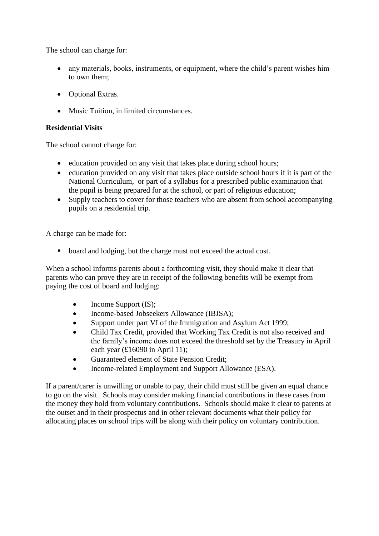The school can charge for:

- any materials, books, instruments, or equipment, where the child's parent wishes him to own them;
- Optional Extras.
- Music Tuition, in limited circumstances.

#### **Residential Visits**

The school cannot charge for:

- education provided on any visit that takes place during school hours;
- education provided on any visit that takes place outside school hours if it is part of the National Curriculum, or part of a syllabus for a prescribed public examination that the pupil is being prepared for at the school, or part of religious education;
- Supply teachers to cover for those teachers who are absent from school accompanying pupils on a residential trip.

A charge can be made for:

• board and lodging, but the charge must not exceed the actual cost.

When a school informs parents about a forthcoming visit, they should make it clear that parents who can prove they are in receipt of the following benefits will be exempt from paying the cost of board and lodging:

- Income Support (IS);
- Income-based Jobseekers Allowance (IBJSA);
- Support under part VI of the Immigration and Asylum Act 1999;
- Child Tax Credit, provided that Working Tax Credit is not also received and the family's income does not exceed the threshold set by the Treasury in April each year (£16090 in April 11);
- Guaranteed element of State Pension Credit;
- Income-related Employment and Support Allowance (ESA).

If a parent/carer is unwilling or unable to pay, their child must still be given an equal chance to go on the visit. Schools may consider making financial contributions in these cases from the money they hold from voluntary contributions. Schools should make it clear to parents at the outset and in their prospectus and in other relevant documents what their policy for allocating places on school trips will be along with their policy on voluntary contribution.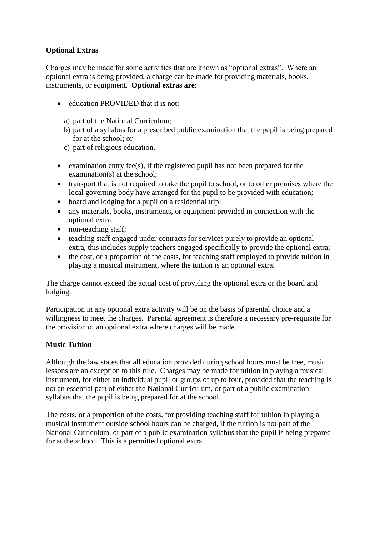## **Optional Extras**

Charges may be made for some activities that are known as "optional extras". Where an optional extra is being provided, a charge can be made for providing materials, books, instruments, or equipment. **Optional extras are**:

- education PROVIDED that it is not:
	- a) part of the National Curriculum;
	- b) part of a syllabus for a prescribed public examination that the pupil is being prepared for at the school; or
	- c) part of religious education.
- Examination entry fee(s), if the registered pupil has not been prepared for the examination(s) at the school;
- transport that is not required to take the pupil to school, or to other premises where the local governing body have arranged for the pupil to be provided with education;
- board and lodging for a pupil on a residential trip;
- any materials, books, instruments, or equipment provided in connection with the optional extra.
- non-teaching staff;
- teaching staff engaged under contracts for services purely to provide an optional extra, this includes supply teachers engaged specifically to provide the optional extra;
- the cost, or a proportion of the costs, for teaching staff employed to provide tuition in playing a musical instrument, where the tuition is an optional extra.

The charge cannot exceed the actual cost of providing the optional extra or the board and lodging.

Participation in any optional extra activity will be on the basis of parental choice and a willingness to meet the charges. Parental agreement is therefore a necessary pre-requisite for the provision of an optional extra where charges will be made.

### **Music Tuition**

Although the law states that all education provided during school hours must be free, music lessons are an exception to this rule. Charges may be made for tuition in playing a musical instrument, for either an individual pupil or groups of up to four, provided that the teaching is not an essential part of either the National Curriculum, or part of a public examination syllabus that the pupil is being prepared for at the school.

The costs, or a proportion of the costs, for providing teaching staff for tuition in playing a musical instrument outside school hours can be charged, if the tuition is not part of the National Curriculum, or part of a public examination syllabus that the pupil is being prepared for at the school. This is a permitted optional extra.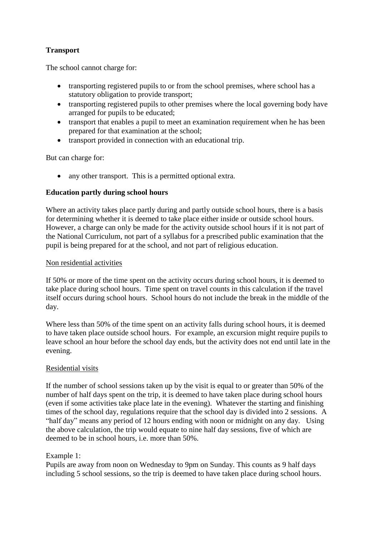## **Transport**

The school cannot charge for:

- transporting registered pupils to or from the school premises, where school has a statutory obligation to provide transport;
- transporting registered pupils to other premises where the local governing body have arranged for pupils to be educated;
- transport that enables a pupil to meet an examination requirement when he has been prepared for that examination at the school;
- transport provided in connection with an educational trip.

But can charge for:

• any other transport. This is a permitted optional extra.

## **Education partly during school hours**

Where an activity takes place partly during and partly outside school hours, there is a basis for determining whether it is deemed to take place either inside or outside school hours. However, a charge can only be made for the activity outside school hours if it is not part of the National Curriculum, not part of a syllabus for a prescribed public examination that the pupil is being prepared for at the school, and not part of religious education.

#### Non residential activities

If 50% or more of the time spent on the activity occurs during school hours, it is deemed to take place during school hours. Time spent on travel counts in this calculation if the travel itself occurs during school hours. School hours do not include the break in the middle of the day.

Where less than 50% of the time spent on an activity falls during school hours, it is deemed to have taken place outside school hours. For example, an excursion might require pupils to leave school an hour before the school day ends, but the activity does not end until late in the evening.

### Residential visits

If the number of school sessions taken up by the visit is equal to or greater than 50% of the number of half days spent on the trip, it is deemed to have taken place during school hours (even if some activities take place late in the evening). Whatever the starting and finishing times of the school day, regulations require that the school day is divided into 2 sessions. A "half day" means any period of 12 hours ending with noon or midnight on any day. Using the above calculation, the trip would equate to nine half day sessions, five of which are deemed to be in school hours, i.e. more than 50%.

### Example 1:

Pupils are away from noon on Wednesday to 9pm on Sunday. This counts as 9 half days including 5 school sessions, so the trip is deemed to have taken place during school hours.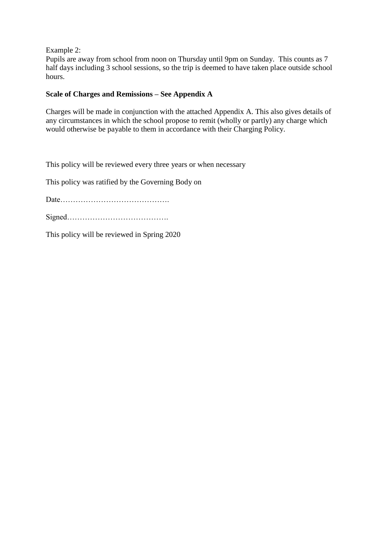Example 2:

Pupils are away from school from noon on Thursday until 9pm on Sunday. This counts as 7 half days including 3 school sessions, so the trip is deemed to have taken place outside school hours.

## **Scale of Charges and Remissions – See Appendix A**

Charges will be made in conjunction with the attached Appendix A. This also gives details of any circumstances in which the school propose to remit (wholly or partly) any charge which would otherwise be payable to them in accordance with their Charging Policy.

This policy will be reviewed every three years or when necessary

This policy was ratified by the Governing Body on

Date…………………………………….

This policy will be reviewed in Spring 2020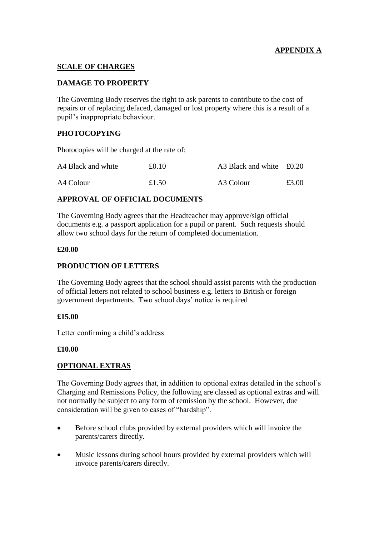## **APPENDIX A**

#### **SCALE OF CHARGES**

#### **DAMAGE TO PROPERTY**

The Governing Body reserves the right to ask parents to contribute to the cost of repairs or of replacing defaced, damaged or lost property where this is a result of a pupil's inappropriate behaviour.

#### **PHOTOCOPYING**

Photocopies will be charged at the rate of:

| A4 Black and white | £0.10 | A3 Black and white £0.20 |       |
|--------------------|-------|--------------------------|-------|
| A4 Colour          | £1.50 | A3 Colour                | £3.00 |

#### **APPROVAL OF OFFICIAL DOCUMENTS**

The Governing Body agrees that the Headteacher may approve/sign official documents e.g. a passport application for a pupil or parent. Such requests should allow two school days for the return of completed documentation.

#### **£20.00**

#### **PRODUCTION OF LETTERS**

The Governing Body agrees that the school should assist parents with the production of official letters not related to school business e.g. letters to British or foreign government departments. Two school days' notice is required

#### **£15.00**

Letter confirming a child's address

#### **£10.00**

### **OPTIONAL EXTRAS**

The Governing Body agrees that, in addition to optional extras detailed in the school's Charging and Remissions Policy, the following are classed as optional extras and will not normally be subject to any form of remission by the school. However, due consideration will be given to cases of "hardship".

- Before school clubs provided by external providers which will invoice the parents/carers directly.
- Music lessons during school hours provided by external providers which will invoice parents/carers directly.